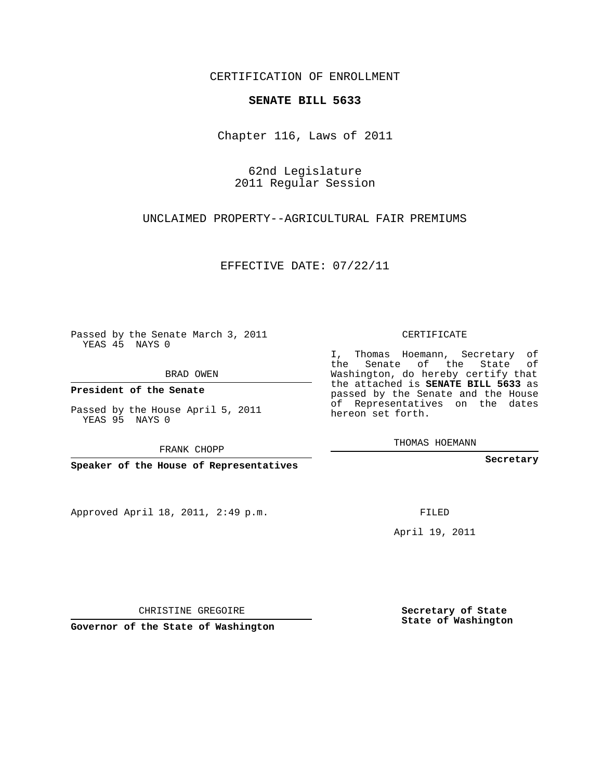CERTIFICATION OF ENROLLMENT

## **SENATE BILL 5633**

Chapter 116, Laws of 2011

62nd Legislature 2011 Regular Session

UNCLAIMED PROPERTY--AGRICULTURAL FAIR PREMIUMS

EFFECTIVE DATE: 07/22/11

Passed by the Senate March 3, 2011 YEAS 45 NAYS 0

BRAD OWEN

**President of the Senate**

Passed by the House April 5, 2011 YEAS 95 NAYS 0

FRANK CHOPP

**Speaker of the House of Representatives**

Approved April 18, 2011, 2:49 p.m.

CERTIFICATE

I, Thomas Hoemann, Secretary of the Senate of the State of Washington, do hereby certify that the attached is **SENATE BILL 5633** as passed by the Senate and the House of Representatives on the dates hereon set forth.

THOMAS HOEMANN

**Secretary**

FILED

April 19, 2011

CHRISTINE GREGOIRE

**Governor of the State of Washington**

**Secretary of State State of Washington**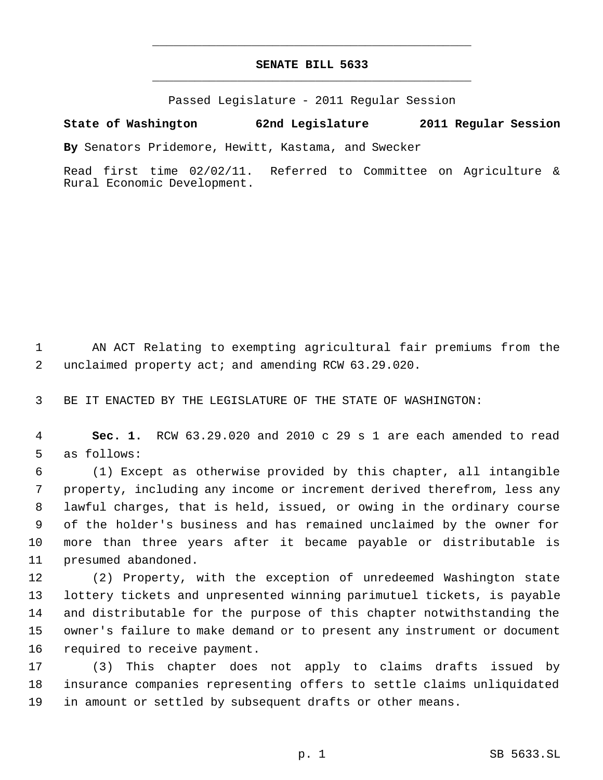## **SENATE BILL 5633** \_\_\_\_\_\_\_\_\_\_\_\_\_\_\_\_\_\_\_\_\_\_\_\_\_\_\_\_\_\_\_\_\_\_\_\_\_\_\_\_\_\_\_\_\_

\_\_\_\_\_\_\_\_\_\_\_\_\_\_\_\_\_\_\_\_\_\_\_\_\_\_\_\_\_\_\_\_\_\_\_\_\_\_\_\_\_\_\_\_\_

Passed Legislature - 2011 Regular Session

## **State of Washington 62nd Legislature 2011 Regular Session**

**By** Senators Pridemore, Hewitt, Kastama, and Swecker

Read first time 02/02/11. Referred to Committee on Agriculture & Rural Economic Development.

 AN ACT Relating to exempting agricultural fair premiums from the unclaimed property act; and amending RCW 63.29.020.

BE IT ENACTED BY THE LEGISLATURE OF THE STATE OF WASHINGTON:

 **Sec. 1.** RCW 63.29.020 and 2010 c 29 s 1 are each amended to read as follows:

 (1) Except as otherwise provided by this chapter, all intangible property, including any income or increment derived therefrom, less any lawful charges, that is held, issued, or owing in the ordinary course of the holder's business and has remained unclaimed by the owner for more than three years after it became payable or distributable is presumed abandoned.

 (2) Property, with the exception of unredeemed Washington state lottery tickets and unpresented winning parimutuel tickets, is payable and distributable for the purpose of this chapter notwithstanding the owner's failure to make demand or to present any instrument or document required to receive payment.

 (3) This chapter does not apply to claims drafts issued by insurance companies representing offers to settle claims unliquidated in amount or settled by subsequent drafts or other means.